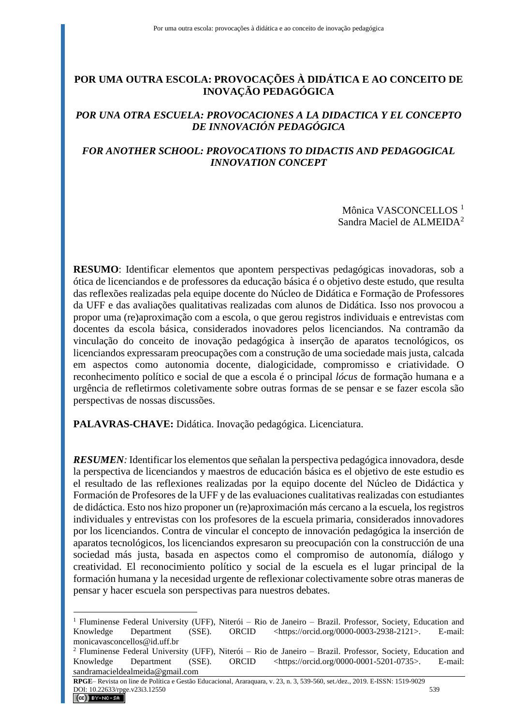# **POR UMA OUTRA ESCOLA: PROVOCAÇÕES À DIDÁTICA E AO CONCEITO DE INOVAÇÃO PEDAGÓGICA**

# *POR UNA OTRA ESCUELA: PROVOCACIONES A LA DIDACTICA Y EL CONCEPTO DE INNOVACIÓN PEDAGÓGICA*

# *FOR ANOTHER SCHOOL: PROVOCATIONS TO DIDACTIS AND PEDAGOGICAL INNOVATION CONCEPT*

Mônica VASCONCELLOS<sup>1</sup> Sandra Maciel de ALMEIDA<sup>2</sup>

**RESUMO**: Identificar elementos que apontem perspectivas pedagógicas inovadoras, sob a ótica de licenciandos e de professores da educação básica é o objetivo deste estudo, que resulta das reflexões realizadas pela equipe docente do Núcleo de Didática e Formação de Professores da UFF e das avaliações qualitativas realizadas com alunos de Didática. Isso nos provocou a propor uma (re)aproximação com a escola, o que gerou registros individuais e entrevistas com docentes da escola básica, considerados inovadores pelos licenciandos. Na contramão da vinculação do conceito de inovação pedagógica à inserção de aparatos tecnológicos, os licenciandos expressaram preocupações com a construção de uma sociedade mais justa, calcada em aspectos como autonomia docente, dialogicidade, compromisso e criatividade. O reconhecimento político e social de que a escola é o principal *lócus* de formação humana e a urgência de refletirmos coletivamente sobre outras formas de se pensar e se fazer escola são perspectivas de nossas discussões.

**PALAVRAS-CHAVE:** Didática. Inovação pedagógica. Licenciatura.

*RESUMEN:* Identificar los elementos que señalan la perspectiva pedagógica innovadora, desde la perspectiva de licenciandos y maestros de educación básica es el objetivo de este estudio es el resultado de las reflexiones realizadas por la equipo docente del Núcleo de Didáctica y Formación de Profesores de la UFF y de las evaluaciones cualitativas realizadas con estudiantes de didáctica. Esto nos hizo proponer un (re)aproximación más cercano a la escuela, los registros individuales y entrevistas con los profesores de la escuela primaria, considerados innovadores por los licenciandos. Contra de vincular el concepto de innovación pedagógica la inserción de aparatos tecnológicos, los licenciandos expresaron su preocupación con la construcción de una sociedad más justa, basada en aspectos como el compromiso de autonomía, diálogo y creatividad. El reconocimiento político y social de la escuela es el lugar principal de la formación humana y la necesidad urgente de reflexionar colectivamente sobre otras maneras de pensar y hacer escuela son perspectivas para nuestros debates.

<sup>&</sup>lt;sup>1</sup> Fluminense Federal University (UFF), Niterói - Rio de Janeiro - Brazil. Professor, Society, Education and Knowledge Department (SSE). ORCID <https://orcid.org/0000-0003-2938-2121>. E-mail: monicavasconcellos@id.uff.br

<sup>2</sup> Fluminense Federal University (UFF), Niterói – Rio de Janeiro – Brazil. Professor, Society, Education and Knowledge Department (SSE). ORCID <https://orcid.org/0000-0001-5201-0735>. E-mail: sandramacieldealmeida@gmail.com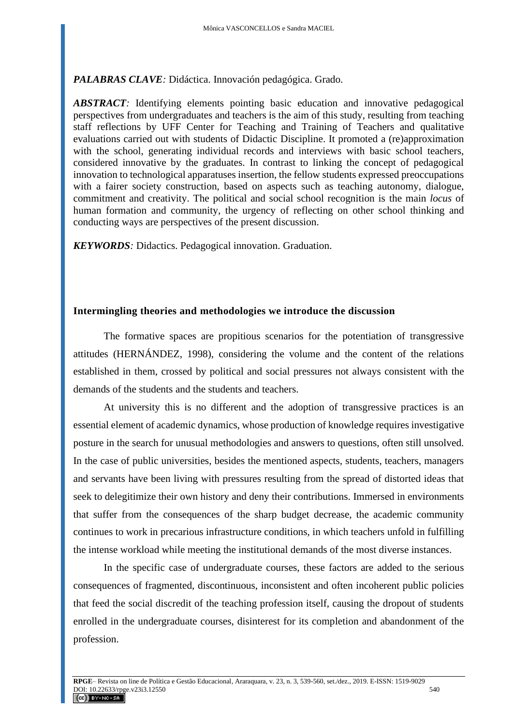*PALABRAS CLAVE:* Didáctica. Innovación pedagógica. Grado*.*

*ABSTRACT:* Identifying elements pointing basic education and innovative pedagogical perspectives from undergraduates and teachers is the aim of this study, resulting from teaching staff reflections by UFF Center for Teaching and Training of Teachers and qualitative evaluations carried out with students of Didactic Discipline. It promoted a (re)approximation with the school, generating individual records and interviews with basic school teachers, considered innovative by the graduates. In contrast to linking the concept of pedagogical innovation to technological apparatuses insertion, the fellow students expressed preoccupations with a fairer society construction, based on aspects such as teaching autonomy, dialogue, commitment and creativity. The political and social school recognition is the main *locus* of human formation and community, the urgency of reflecting on other school thinking and conducting ways are perspectives of the present discussion.

*KEYWORDS:* Didactics. Pedagogical innovation. Graduation.

# **Intermingling theories and methodologies we introduce the discussion**

The formative spaces are propitious scenarios for the potentiation of transgressive attitudes (HERNÁNDEZ, 1998), considering the volume and the content of the relations established in them, crossed by political and social pressures not always consistent with the demands of the students and the students and teachers.

At university this is no different and the adoption of transgressive practices is an essential element of academic dynamics, whose production of knowledge requires investigative posture in the search for unusual methodologies and answers to questions, often still unsolved. In the case of public universities, besides the mentioned aspects, students, teachers, managers and servants have been living with pressures resulting from the spread of distorted ideas that seek to delegitimize their own history and deny their contributions. Immersed in environments that suffer from the consequences of the sharp budget decrease, the academic community continues to work in precarious infrastructure conditions, in which teachers unfold in fulfilling the intense workload while meeting the institutional demands of the most diverse instances.

In the specific case of undergraduate courses, these factors are added to the serious consequences of fragmented, discontinuous, inconsistent and often incoherent public policies that feed the social discredit of the teaching profession itself, causing the dropout of students enrolled in the undergraduate courses, disinterest for its completion and abandonment of the profession.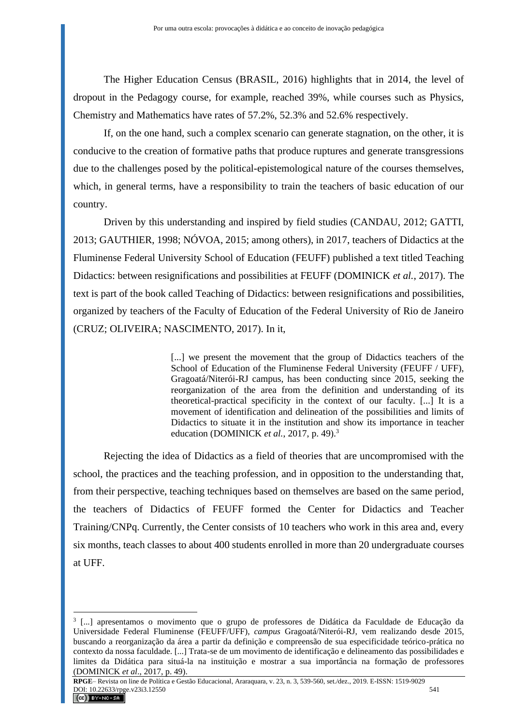The Higher Education Census (BRASIL, 2016) highlights that in 2014, the level of dropout in the Pedagogy course, for example, reached 39%, while courses such as Physics, Chemistry and Mathematics have rates of 57.2%, 52.3% and 52.6% respectively.

If, on the one hand, such a complex scenario can generate stagnation, on the other, it is conducive to the creation of formative paths that produce ruptures and generate transgressions due to the challenges posed by the political-epistemological nature of the courses themselves, which, in general terms, have a responsibility to train the teachers of basic education of our country.

Driven by this understanding and inspired by field studies (CANDAU, 2012; GATTI, 2013; GAUTHIER, 1998; NÓVOA, 2015; among others), in 2017, teachers of Didactics at the Fluminense Federal University School of Education (FEUFF) published a text titled Teaching Didactics: between resignifications and possibilities at FEUFF (DOMINICK *et al.*, 2017). The text is part of the book called Teaching of Didactics: between resignifications and possibilities, organized by teachers of the Faculty of Education of the Federal University of Rio de Janeiro (CRUZ; OLIVEIRA; NASCIMENTO, 2017). In it,

> [...] we present the movement that the group of Didactics teachers of the School of Education of the Fluminense Federal University (FEUFF / UFF), Gragoatá/Niterói-RJ campus, has been conducting since 2015, seeking the reorganization of the area from the definition and understanding of its theoretical-practical specificity in the context of our faculty. [...] It is a movement of identification and delineation of the possibilities and limits of Didactics to situate it in the institution and show its importance in teacher education (DOMINICK *et al.*, 2017, p. 49).<sup>3</sup>

Rejecting the idea of Didactics as a field of theories that are uncompromised with the school, the practices and the teaching profession, and in opposition to the understanding that, from their perspective, teaching techniques based on themselves are based on the same period, the teachers of Didactics of FEUFF formed the Center for Didactics and Teacher Training/CNPq. Currently, the Center consists of 10 teachers who work in this area and, every six months, teach classes to about 400 students enrolled in more than 20 undergraduate courses at UFF.

<sup>3</sup> [...] apresentamos o movimento que o grupo de professores de Didática da Faculdade de Educação da Universidade Federal Fluminense (FEUFF/UFF), *campus* Gragoatá/Niterói-RJ, vem realizando desde 2015, buscando a reorganização da área a partir da definição e compreensão de sua especificidade teórico-prática no contexto da nossa faculdade. [...] Trata-se de um movimento de identificação e delineamento das possibilidades e limites da Didática para situá-la na instituição e mostrar a sua importância na formação de professores (DOMINICK *et al*., 2017, p. 49).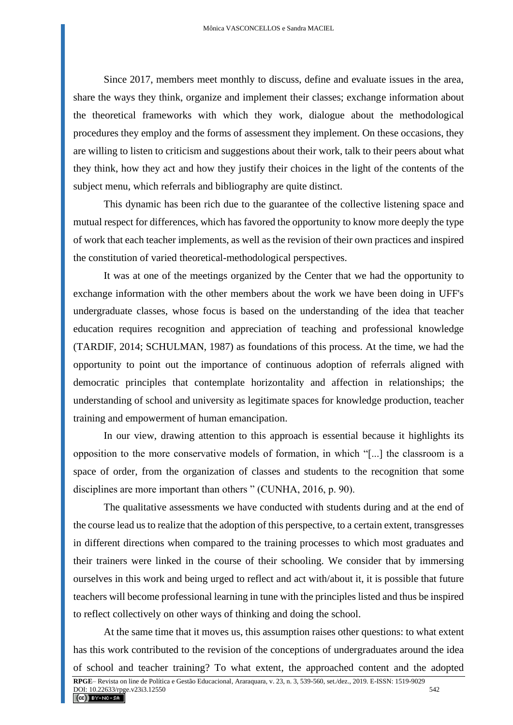Since 2017, members meet monthly to discuss, define and evaluate issues in the area, share the ways they think, organize and implement their classes; exchange information about the theoretical frameworks with which they work, dialogue about the methodological procedures they employ and the forms of assessment they implement. On these occasions, they are willing to listen to criticism and suggestions about their work, talk to their peers about what they think, how they act and how they justify their choices in the light of the contents of the subject menu, which referrals and bibliography are quite distinct.

This dynamic has been rich due to the guarantee of the collective listening space and mutual respect for differences, which has favored the opportunity to know more deeply the type of work that each teacher implements, as well as the revision of their own practices and inspired the constitution of varied theoretical-methodological perspectives.

It was at one of the meetings organized by the Center that we had the opportunity to exchange information with the other members about the work we have been doing in UFF's undergraduate classes, whose focus is based on the understanding of the idea that teacher education requires recognition and appreciation of teaching and professional knowledge (TARDIF, 2014; SCHULMAN, 1987) as foundations of this process. At the time, we had the opportunity to point out the importance of continuous adoption of referrals aligned with democratic principles that contemplate horizontality and affection in relationships; the understanding of school and university as legitimate spaces for knowledge production, teacher training and empowerment of human emancipation.

In our view, drawing attention to this approach is essential because it highlights its opposition to the more conservative models of formation, in which "[...] the classroom is a space of order, from the organization of classes and students to the recognition that some disciplines are more important than others " (CUNHA, 2016, p. 90).

The qualitative assessments we have conducted with students during and at the end of the course lead us to realize that the adoption of this perspective, to a certain extent, transgresses in different directions when compared to the training processes to which most graduates and their trainers were linked in the course of their schooling. We consider that by immersing ourselves in this work and being urged to reflect and act with/about it, it is possible that future teachers will become professional learning in tune with the principles listed and thus be inspired to reflect collectively on other ways of thinking and doing the school.

At the same time that it moves us, this assumption raises other questions: to what extent has this work contributed to the revision of the conceptions of undergraduates around the idea of school and teacher training? To what extent, the approached content and the adopted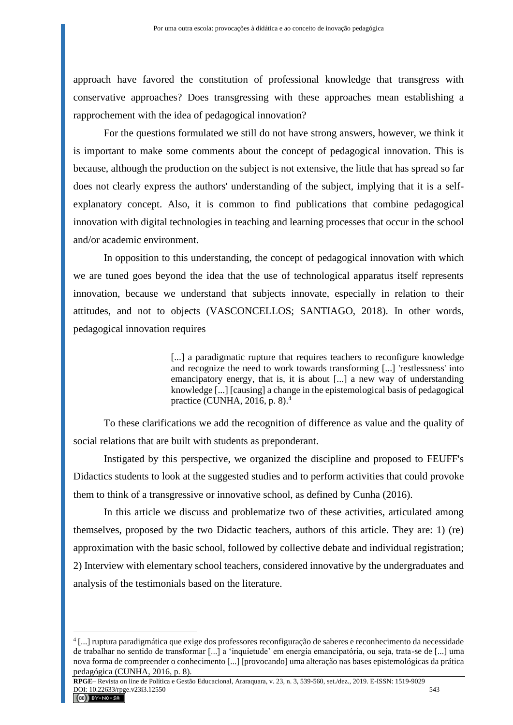approach have favored the constitution of professional knowledge that transgress with conservative approaches? Does transgressing with these approaches mean establishing a rapprochement with the idea of pedagogical innovation?

For the questions formulated we still do not have strong answers, however, we think it is important to make some comments about the concept of pedagogical innovation. This is because, although the production on the subject is not extensive, the little that has spread so far does not clearly express the authors' understanding of the subject, implying that it is a selfexplanatory concept. Also, it is common to find publications that combine pedagogical innovation with digital technologies in teaching and learning processes that occur in the school and/or academic environment.

In opposition to this understanding, the concept of pedagogical innovation with which we are tuned goes beyond the idea that the use of technological apparatus itself represents innovation, because we understand that subjects innovate, especially in relation to their attitudes, and not to objects (VASCONCELLOS; SANTIAGO, 2018). In other words, pedagogical innovation requires

> [...] a paradigmatic rupture that requires teachers to reconfigure knowledge and recognize the need to work towards transforming [...] 'restlessness' into emancipatory energy, that is, it is about [...] a new way of understanding knowledge [...] [causing] a change in the epistemological basis of pedagogical practice (CUNHA, 2016, p. 8).<sup>4</sup>

To these clarifications we add the recognition of difference as value and the quality of social relations that are built with students as preponderant.

Instigated by this perspective, we organized the discipline and proposed to FEUFF's Didactics students to look at the suggested studies and to perform activities that could provoke them to think of a transgressive or innovative school, as defined by Cunha (2016).

In this article we discuss and problematize two of these activities, articulated among themselves, proposed by the two Didactic teachers, authors of this article. They are: 1) (re) approximation with the basic school, followed by collective debate and individual registration; 2) Interview with elementary school teachers, considered innovative by the undergraduates and analysis of the testimonials based on the literature.

<sup>4</sup> [...] ruptura paradigmática que exige dos professores reconfiguração de saberes e reconhecimento da necessidade de trabalhar no sentido de transformar [...] a 'inquietude' em energia emancipatória, ou seja, trata-se de [...] uma nova forma de compreender o conhecimento [...] [provocando] uma alteração nas bases epistemológicas da prática pedagógica (CUNHA, 2016, p. 8).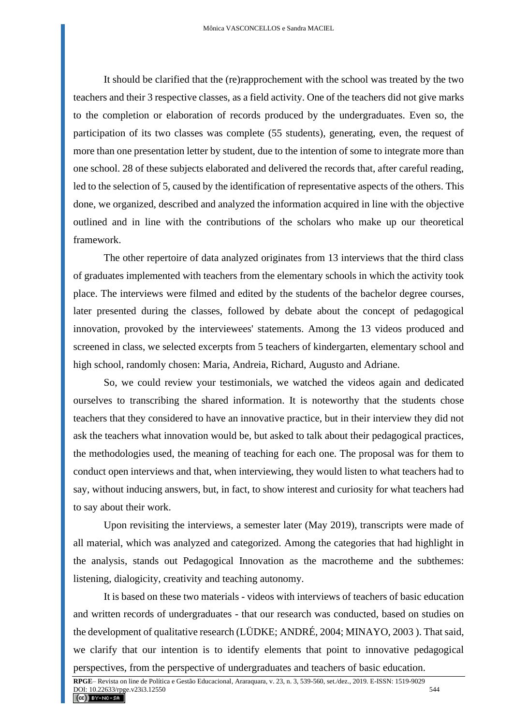It should be clarified that the (re)rapprochement with the school was treated by the two teachers and their 3 respective classes, as a field activity. One of the teachers did not give marks to the completion or elaboration of records produced by the undergraduates. Even so, the participation of its two classes was complete (55 students), generating, even, the request of more than one presentation letter by student, due to the intention of some to integrate more than one school. 28 of these subjects elaborated and delivered the records that, after careful reading, led to the selection of 5, caused by the identification of representative aspects of the others. This done, we organized, described and analyzed the information acquired in line with the objective outlined and in line with the contributions of the scholars who make up our theoretical framework.

The other repertoire of data analyzed originates from 13 interviews that the third class of graduates implemented with teachers from the elementary schools in which the activity took place. The interviews were filmed and edited by the students of the bachelor degree courses, later presented during the classes, followed by debate about the concept of pedagogical innovation, provoked by the interviewees' statements. Among the 13 videos produced and screened in class, we selected excerpts from 5 teachers of kindergarten, elementary school and high school, randomly chosen: Maria, Andreia, Richard, Augusto and Adriane.

So, we could review your testimonials, we watched the videos again and dedicated ourselves to transcribing the shared information. It is noteworthy that the students chose teachers that they considered to have an innovative practice, but in their interview they did not ask the teachers what innovation would be, but asked to talk about their pedagogical practices, the methodologies used, the meaning of teaching for each one. The proposal was for them to conduct open interviews and that, when interviewing, they would listen to what teachers had to say, without inducing answers, but, in fact, to show interest and curiosity for what teachers had to say about their work.

Upon revisiting the interviews, a semester later (May 2019), transcripts were made of all material, which was analyzed and categorized. Among the categories that had highlight in the analysis, stands out Pedagogical Innovation as the macrotheme and the subthemes: listening, dialogicity, creativity and teaching autonomy.

It is based on these two materials - videos with interviews of teachers of basic education and written records of undergraduates - that our research was conducted, based on studies on the development of qualitative research (LÜDKE; ANDRÉ, 2004; MINAYO, 2003 ). That said, we clarify that our intention is to identify elements that point to innovative pedagogical perspectives, from the perspective of undergraduates and teachers of basic education.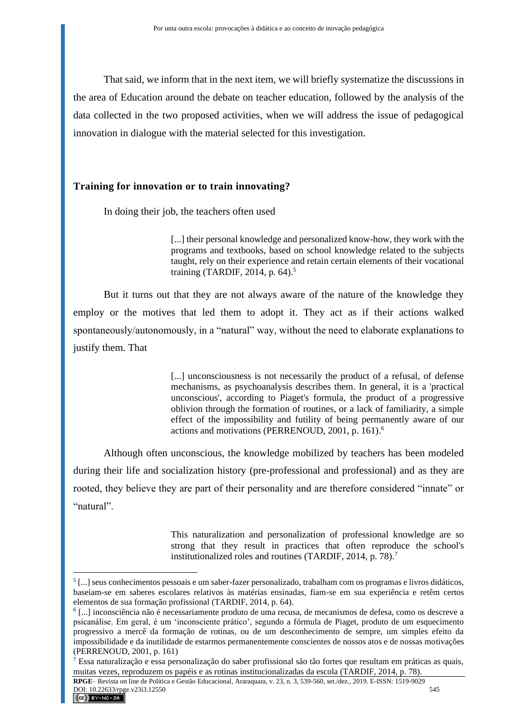That said, we inform that in the next item, we will briefly systematize the discussions in the area of Education around the debate on teacher education, followed by the analysis of the data collected in the two proposed activities, when we will address the issue of pedagogical innovation in dialogue with the material selected for this investigation.

# **Training for innovation or to train innovating?**

In doing their job, the teachers often used

[...] their personal knowledge and personalized know-how, they work with the programs and textbooks, based on school knowledge related to the subjects taught, rely on their experience and retain certain elements of their vocational training (TARDIF, 2014, p. 64).<sup>5</sup>

But it turns out that they are not always aware of the nature of the knowledge they employ or the motives that led them to adopt it. They act as if their actions walked spontaneously/autonomously, in a "natural" way, without the need to elaborate explanations to justify them. That

> [...] unconsciousness is not necessarily the product of a refusal, of defense mechanisms, as psychoanalysis describes them. In general, it is a 'practical unconscious', according to Piaget's formula, the product of a progressive oblivion through the formation of routines, or a lack of familiarity, a simple effect of the impossibility and futility of being permanently aware of our actions and motivations (PERRENOUD, 2001, p. 161). 6

Although often unconscious, the knowledge mobilized by teachers has been modeled during their life and socialization history (pre-professional and professional) and as they are rooted, they believe they are part of their personality and are therefore considered "innate" or "natural".

> This naturalization and personalization of professional knowledge are so strong that they result in practices that often reproduce the school's institutionalized roles and routines (TARDIF, 2014, p. 78).<sup>7</sup>

<sup>5</sup> [...] seus conhecimentos pessoais e um saber-fazer personalizado, trabalham com os programas e livros didáticos, baseiam-se em saberes escolares relativos às matérias ensinadas, fiam-se em sua experiência e retêm certos elementos de sua formação profissional (TARDIF, 2014, p. 64).

<sup>6</sup> [...] inconsciência não é necessariamente produto de uma recusa, de mecanismos de defesa, como os descreve a psicanálise. Em geral, é um 'inconsciente prático', segundo a fórmula de Piaget, produto de um esquecimento progressivo a mercê da formação de rotinas, ou de um desconhecimento de sempre, um simples efeito da impossibilidade e da inutilidade de estarmos permanentemente conscientes de nossos atos e de nossas motivações (PERRENOUD, 2001, p. 161)

<sup>7</sup> Essa naturalização e essa personalização do saber profissional são tão fortes que resultam em práticas as quais, muitas vezes, reproduzem os papéis e as rotinas institucionalizadas da escola (TARDIF, 2014, p. 78).

**RPGE**– Revista on line de Política e Gestão Educacional, Araraquara, v. 23, n. 3, 539-560, set./dez., 2019. E-ISSN: 1519-9029 **DOI:** 10.22633/rpge.v23i3.12550 545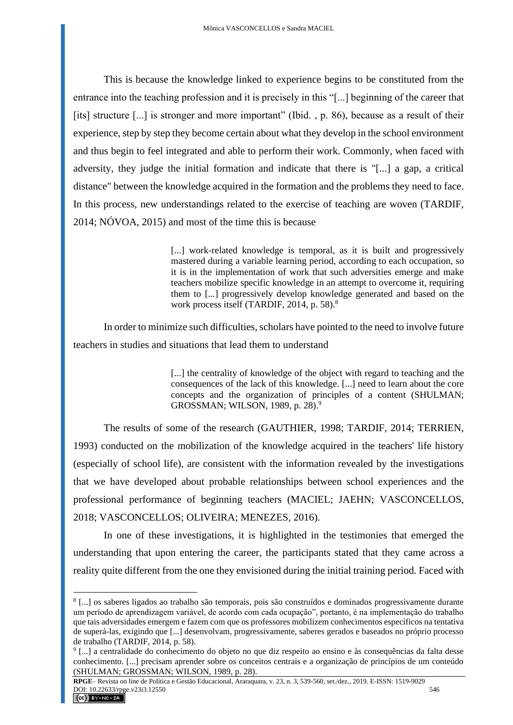This is because the knowledge linked to experience begins to be constituted from the entrance into the teaching profession and it is precisely in this "[...] beginning of the career that [its] structure [...] is stronger and more important" (Ibid., p. 86), because as a result of their experience, step by step they become certain about what they develop in the school environment and thus begin to feel integrated and able to perform their work. Commonly, when faced with adversity, they judge the initial formation and indicate that there is "[...] a gap, a critical distance" between the knowledge acquired in the formation and the problems they need to face. In this process, new understandings related to the exercise of teaching are woven (TARDIF, 2014; NÓVOA, 2015) and most of the time this is because

> [...] work-related knowledge is temporal, as it is built and progressively mastered during a variable learning period, according to each occupation, so it is in the implementation of work that such adversities emerge and make teachers mobilize specific knowledge in an attempt to overcome it, requiring them to [...] progressively develop knowledge generated and based on the work process itself (TARDIF, 2014, p. 58).<sup>8</sup>

In order to minimize such difficulties, scholars have pointed to the need to involve future teachers in studies and situations that lead them to understand

> [...] the centrality of knowledge of the object with regard to teaching and the consequences of the lack of this knowledge. [...] need to learn about the core concepts and the organization of principles of a content (SHULMAN; GROSSMAN; WILSON, 1989, p. 28).<sup>9</sup>

The results of some of the research (GAUTHIER, 1998; TARDIF, 2014; TERRIEN, 1993) conducted on the mobilization of the knowledge acquired in the teachers' life history (especially of school life), are consistent with the information revealed by the investigations that we have developed about probable relationships between school experiences and the professional performance of beginning teachers (MACIEL; JAEHN; VASCONCELLOS, 2018; VASCONCELLOS; OLIVEIRA; MENEZES, 2016).

In one of these investigations, it is highlighted in the testimonies that emerged the understanding that upon entering the career, the participants stated that they came across a reality quite different from the one they envisioned during the initial training period. Faced with

<sup>8</sup> [...] os saberes ligados ao trabalho são temporais, pois são construídos e dominados progressivamente durante um período de aprendizagem variável, de acordo com cada ocupação", portanto, é na implementação do trabalho que tais adversidades emergem e fazem com que os professores mobilizem conhecimentos específicos na tentativa de superá-las, exigindo que [...] desenvolvam, progressivamente, saberes gerados e baseados no próprio processo de trabalho (TARDIF, 2014, p. 58).

<sup>9</sup> [...] a centralidade do conhecimento do objeto no que diz respeito ao ensino e às consequências da falta desse conhecimento. [...] precisam aprender sobre os conceitos centrais e a organização de princípios de um conteúdo (SHULMAN; GROSSMAN; WILSON, 1989, p. 28).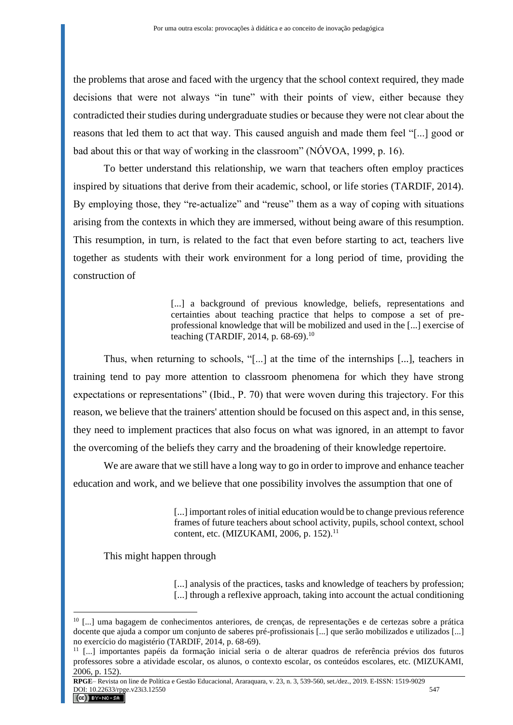the problems that arose and faced with the urgency that the school context required, they made decisions that were not always "in tune" with their points of view, either because they contradicted their studies during undergraduate studies or because they were not clear about the reasons that led them to act that way. This caused anguish and made them feel "[...] good or bad about this or that way of working in the classroom" (NÓVOA, 1999, p. 16).

To better understand this relationship, we warn that teachers often employ practices inspired by situations that derive from their academic, school, or life stories (TARDIF, 2014). By employing those, they "re-actualize" and "reuse" them as a way of coping with situations arising from the contexts in which they are immersed, without being aware of this resumption. This resumption, in turn, is related to the fact that even before starting to act, teachers live together as students with their work environment for a long period of time, providing the construction of

> [...] a background of previous knowledge, beliefs, representations and certainties about teaching practice that helps to compose a set of preprofessional knowledge that will be mobilized and used in the [...] exercise of teaching (TARDIF, 2014, p.  $68-69$ ).<sup>10</sup>

Thus, when returning to schools, "[...] at the time of the internships [...], teachers in training tend to pay more attention to classroom phenomena for which they have strong expectations or representations" (Ibid., P. 70) that were woven during this trajectory. For this reason, we believe that the trainers' attention should be focused on this aspect and, in this sense, they need to implement practices that also focus on what was ignored, in an attempt to favor the overcoming of the beliefs they carry and the broadening of their knowledge repertoire.

We are aware that we still have a long way to go in order to improve and enhance teacher education and work, and we believe that one possibility involves the assumption that one of

> [...] important roles of initial education would be to change previous reference frames of future teachers about school activity, pupils, school context, school content, etc. (MIZUKAMI, 2006, p. 152).<sup>11</sup>

This might happen through

[...] analysis of the practices, tasks and knowledge of teachers by profession; [...] through a reflexive approach, taking into account the actual conditioning

**RPGE**– Revista on line de Política e Gestão Educacional, Araraquara, v. 23, n. 3, 539-560, set./dez., 2019. E-ISSN: 1519-9029  $\frac{100!}{10.22633/\text{rpge.V23i3.12550}}$  547

<sup>10</sup> [...] uma bagagem de conhecimentos anteriores, de crenças, de representações e de certezas sobre a prática docente que ajuda a compor um conjunto de saberes pré-profissionais [...] que serão mobilizados e utilizados [...] no exercício do magistério (TARDIF, 2014, p. 68-69).

<sup>11</sup> [...] importantes papéis da formação inicial seria o de alterar quadros de referência prévios dos futuros professores sobre a atividade escolar, os alunos, o contexto escolar, os conteúdos escolares, etc. (MIZUKAMI, 2006, p. 152).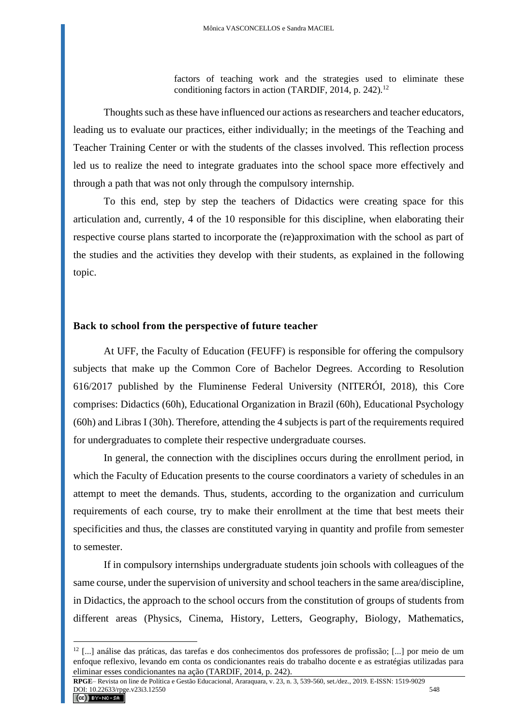factors of teaching work and the strategies used to eliminate these conditioning factors in action (TARDIF, 2014, p. 242).<sup>12</sup>

Thoughts such as these have influenced our actions as researchers and teacher educators, leading us to evaluate our practices, either individually; in the meetings of the Teaching and Teacher Training Center or with the students of the classes involved. This reflection process led us to realize the need to integrate graduates into the school space more effectively and through a path that was not only through the compulsory internship.

To this end, step by step the teachers of Didactics were creating space for this articulation and, currently, 4 of the 10 responsible for this discipline, when elaborating their respective course plans started to incorporate the (re)approximation with the school as part of the studies and the activities they develop with their students, as explained in the following topic.

#### **Back to school from the perspective of future teacher**

At UFF, the Faculty of Education (FEUFF) is responsible for offering the compulsory subjects that make up the Common Core of Bachelor Degrees. According to Resolution 616/2017 published by the Fluminense Federal University (NITERÓI, 2018), this Core comprises: Didactics (60h), Educational Organization in Brazil (60h), Educational Psychology (60h) and Libras I (30h). Therefore, attending the 4 subjects is part of the requirements required for undergraduates to complete their respective undergraduate courses.

In general, the connection with the disciplines occurs during the enrollment period, in which the Faculty of Education presents to the course coordinators a variety of schedules in an attempt to meet the demands. Thus, students, according to the organization and curriculum requirements of each course, try to make their enrollment at the time that best meets their specificities and thus, the classes are constituted varying in quantity and profile from semester to semester.

If in compulsory internships undergraduate students join schools with colleagues of the same course, under the supervision of university and school teachers in the same area/discipline, in Didactics, the approach to the school occurs from the constitution of groups of students from different areas (Physics, Cinema, History, Letters, Geography, Biology, Mathematics,

<sup>12</sup> [...] análise das práticas, das tarefas e dos conhecimentos dos professores de profissão; [...] por meio de um enfoque reflexivo, levando em conta os condicionantes reais do trabalho docente e as estratégias utilizadas para eliminar esses condicionantes na ação (TARDIF, 2014, p. 242).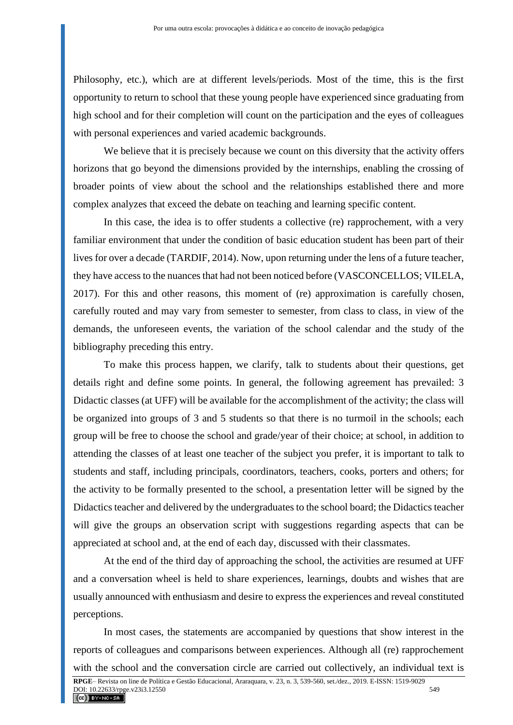Philosophy, etc.), which are at different levels/periods. Most of the time, this is the first opportunity to return to school that these young people have experienced since graduating from high school and for their completion will count on the participation and the eyes of colleagues with personal experiences and varied academic backgrounds.

We believe that it is precisely because we count on this diversity that the activity offers horizons that go beyond the dimensions provided by the internships, enabling the crossing of broader points of view about the school and the relationships established there and more complex analyzes that exceed the debate on teaching and learning specific content.

In this case, the idea is to offer students a collective (re) rapprochement, with a very familiar environment that under the condition of basic education student has been part of their lives for over a decade (TARDIF, 2014). Now, upon returning under the lens of a future teacher, they have access to the nuances that had not been noticed before (VASCONCELLOS; VILELA, 2017). For this and other reasons, this moment of (re) approximation is carefully chosen, carefully routed and may vary from semester to semester, from class to class, in view of the demands, the unforeseen events, the variation of the school calendar and the study of the bibliography preceding this entry.

To make this process happen, we clarify, talk to students about their questions, get details right and define some points. In general, the following agreement has prevailed: 3 Didactic classes (at UFF) will be available for the accomplishment of the activity; the class will be organized into groups of 3 and 5 students so that there is no turmoil in the schools; each group will be free to choose the school and grade/year of their choice; at school, in addition to attending the classes of at least one teacher of the subject you prefer, it is important to talk to students and staff, including principals, coordinators, teachers, cooks, porters and others; for the activity to be formally presented to the school, a presentation letter will be signed by the Didactics teacher and delivered by the undergraduates to the school board; the Didactics teacher will give the groups an observation script with suggestions regarding aspects that can be appreciated at school and, at the end of each day, discussed with their classmates.

At the end of the third day of approaching the school, the activities are resumed at UFF and a conversation wheel is held to share experiences, learnings, doubts and wishes that are usually announced with enthusiasm and desire to express the experiences and reveal constituted perceptions.

In most cases, the statements are accompanied by questions that show interest in the reports of colleagues and comparisons between experiences. Although all (re) rapprochement with the school and the conversation circle are carried out collectively, an individual text is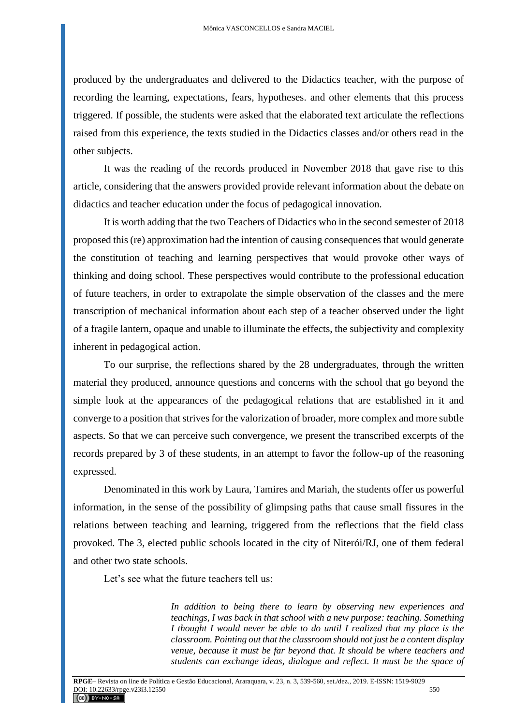produced by the undergraduates and delivered to the Didactics teacher, with the purpose of recording the learning, expectations, fears, hypotheses. and other elements that this process triggered. If possible, the students were asked that the elaborated text articulate the reflections raised from this experience, the texts studied in the Didactics classes and/or others read in the other subjects.

It was the reading of the records produced in November 2018 that gave rise to this article, considering that the answers provided provide relevant information about the debate on didactics and teacher education under the focus of pedagogical innovation.

It is worth adding that the two Teachers of Didactics who in the second semester of 2018 proposed this (re) approximation had the intention of causing consequences that would generate the constitution of teaching and learning perspectives that would provoke other ways of thinking and doing school. These perspectives would contribute to the professional education of future teachers, in order to extrapolate the simple observation of the classes and the mere transcription of mechanical information about each step of a teacher observed under the light of a fragile lantern, opaque and unable to illuminate the effects, the subjectivity and complexity inherent in pedagogical action.

To our surprise, the reflections shared by the 28 undergraduates, through the written material they produced, announce questions and concerns with the school that go beyond the simple look at the appearances of the pedagogical relations that are established in it and converge to a position that strives for the valorization of broader, more complex and more subtle aspects. So that we can perceive such convergence, we present the transcribed excerpts of the records prepared by 3 of these students, in an attempt to favor the follow-up of the reasoning expressed.

Denominated in this work by Laura, Tamires and Mariah, the students offer us powerful information, in the sense of the possibility of glimpsing paths that cause small fissures in the relations between teaching and learning, triggered from the reflections that the field class provoked. The 3, elected public schools located in the city of Niterói/RJ, one of them federal and other two state schools.

Let's see what the future teachers tell us:

*In addition to being there to learn by observing new experiences and teachings, I was back in that school with a new purpose: teaching. Something I thought I would never be able to do until I realized that my place is the classroom. Pointing out that the classroom should not just be a content display venue, because it must be far beyond that. It should be where teachers and students can exchange ideas, dialogue and reflect. It must be the space of*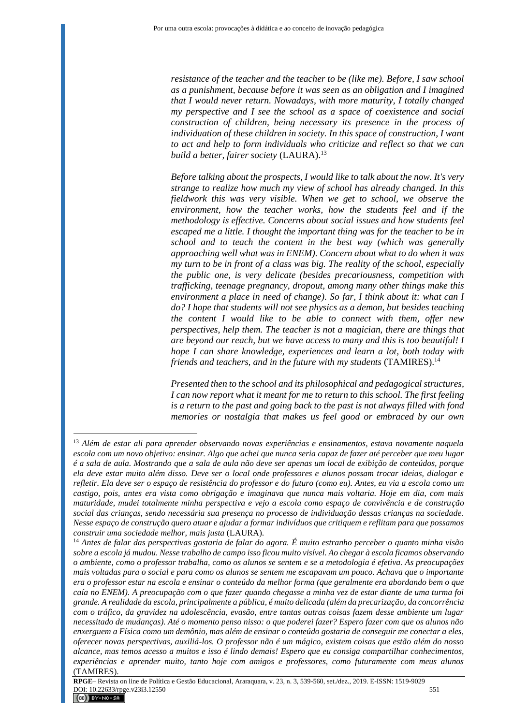*resistance of the teacher and the teacher to be (like me). Before, I saw school as a punishment, because before it was seen as an obligation and I imagined that I would never return. Nowadays, with more maturity, I totally changed my perspective and I see the school as a space of coexistence and social construction of children, being necessary its presence in the process of individuation of these children in society. In this space of construction, I want to act and help to form individuals who criticize and reflect so that we can build a better, fairer society (LAURA).*<sup>13</sup>

*Before talking about the prospects, I would like to talk about the now. It's very strange to realize how much my view of school has already changed. In this fieldwork this was very visible. When we get to school, we observe the environment, how the teacher works, how the students feel and if the methodology is effective. Concerns about social issues and how students feel escaped me a little. I thought the important thing was for the teacher to be in school and to teach the content in the best way (which was generally approaching well what was in ENEM). Concern about what to do when it was my turn to be in front of a class was big. The reality of the school, especially the public one, is very delicate (besides precariousness, competition with trafficking, teenage pregnancy, dropout, among many other things make this environment a place in need of change). So far, I think about it: what can I do? I hope that students will not see physics as a demon, but besides teaching the content I would like to be able to connect with them, offer new perspectives, help them. The teacher is not a magician, there are things that are beyond our reach, but we have access to many and this is too beautiful! I hope I can share knowledge, experiences and learn a lot, both today with friends and teachers, and in the future with my students* (TAMIRES).<sup>14</sup>

*Presented then to the school and its philosophical and pedagogical structures, I can now report what it meant for me to return to this school. The first feeling is a return to the past and going back to the past is not always filled with fond memories or nostalgia that makes us feel good or embraced by our own* 

<sup>13</sup> *Além de estar ali para aprender observando novas experiências e ensinamentos, estava novamente naquela escola com um novo objetivo: ensinar. Algo que achei que nunca seria capaz de fazer até perceber que meu lugar é a sala de aula. Mostrando que a sala de aula não deve ser apenas um local de exibição de conteúdos, porque ela deve estar muito além disso. Deve ser o local onde professores e alunos possam trocar ideias, dialogar e refletir. Ela deve ser o espaço de resistência do professor e do futuro (como eu). Antes, eu via a escola como um castigo, pois, antes era vista como obrigação e imaginava que nunca mais voltaria. Hoje em dia, com mais maturidade, mudei totalmente minha perspectiva e vejo a escola como espaço de convivência e de construção social das crianças, sendo necessária sua presença no processo de individuação dessas crianças na sociedade. Nesse espaço de construção quero atuar e ajudar a formar indivíduos que critiquem e reflitam para que possamos construir uma sociedade melhor, mais justa* (LAURA).

<sup>14</sup> *Antes de falar das perspectivas gostaria de falar do agora. É muito estranho perceber o quanto minha visão sobre a escola já mudou. Nesse trabalho de campo isso ficou muito visível. Ao chegar à escola ficamos observando o ambiente, como o professor trabalha, como os alunos se sentem e se a metodologia é efetiva. As preocupações mais voltadas para o social e para como os alunos se sentem me escapavam um pouco. Achava que o importante era o professor estar na escola e ensinar o conteúdo da melhor forma (que geralmente era abordando bem o que caía no ENEM). A preocupação com o que fazer quando chegasse a minha vez de estar diante de uma turma foi grande. A realidade da escola, principalmente a pública, é muito delicada (além da precarização, da concorrência com o tráfico, da gravidez na adolescência, evasão, entre tantas outras coisas fazem desse ambiente um lugar necessitado de mudanças). Até o momento penso nisso: o que poderei fazer? Espero fazer com que os alunos não enxerguem a Física como um demônio, mas além de ensinar o conteúdo gostaria de conseguir me conectar a eles, oferecer novas perspectivas, auxiliá-los. O professor não é um mágico, existem coisas que estão além do nosso alcance, mas temos acesso a muitos e isso é lindo demais! Espero que eu consiga compartilhar conhecimentos, experiências e aprender muito, tanto hoje com amigos e professores, como futuramente com meus alunos* (TAMIRES).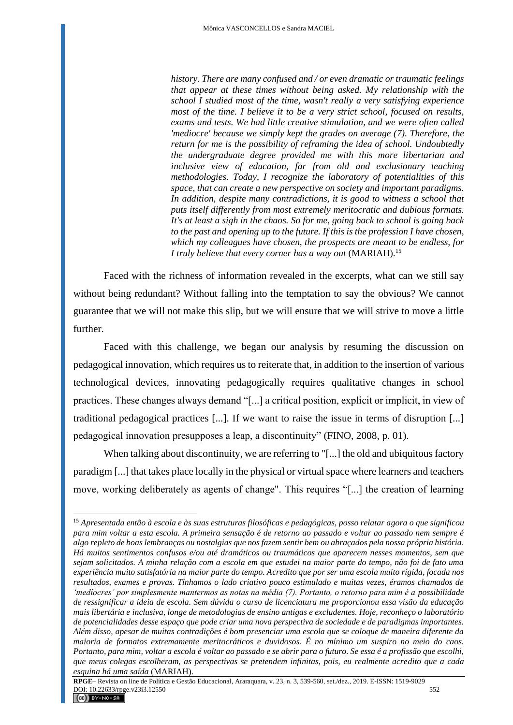*history. There are many confused and / or even dramatic or traumatic feelings that appear at these times without being asked. My relationship with the school I studied most of the time, wasn't really a very satisfying experience most of the time. I believe it to be a very strict school, focused on results, exams and tests. We had little creative stimulation, and we were often called 'mediocre' because we simply kept the grades on average (7). Therefore, the return for me is the possibility of reframing the idea of school. Undoubtedly the undergraduate degree provided me with this more libertarian and inclusive view of education, far from old and exclusionary teaching methodologies. Today, I recognize the laboratory of potentialities of this space, that can create a new perspective on society and important paradigms. In addition, despite many contradictions, it is good to witness a school that puts itself differently from most extremely meritocratic and dubious formats. It's at least a sigh in the chaos. So for me, going back to school is going back to the past and opening up to the future. If this is the profession I have chosen, which my colleagues have chosen, the prospects are meant to be endless, for I truly believe that every corner has a way out* (MARIAH).<sup>15</sup>

Faced with the richness of information revealed in the excerpts, what can we still say without being redundant? Without falling into the temptation to say the obvious? We cannot guarantee that we will not make this slip, but we will ensure that we will strive to move a little further.

Faced with this challenge, we began our analysis by resuming the discussion on pedagogical innovation, which requires us to reiterate that, in addition to the insertion of various technological devices, innovating pedagogically requires qualitative changes in school practices. These changes always demand "[...] a critical position, explicit or implicit, in view of traditional pedagogical practices [...]. If we want to raise the issue in terms of disruption [...] pedagogical innovation presupposes a leap, a discontinuity" (FINO, 2008, p. 01).

When talking about discontinuity, we are referring to "[...] the old and ubiquitous factory paradigm [...] that takes place locally in the physical or virtual space where learners and teachers move, working deliberately as agents of change". This requires "[...] the creation of learning

<sup>15</sup> *Apresentada então à escola e às suas estruturas filosóficas e pedagógicas, posso relatar agora o que significou para mim voltar a esta escola. A primeira sensação é de retorno ao passado e voltar ao passado nem sempre é algo repleto de boas lembranças ou nostalgias que nos fazem sentir bem ou abraçados pela nossa própria história. Há muitos sentimentos confusos e/ou até dramáticos ou traumáticos que aparecem nesses momentos, sem que sejam solicitados. A minha relação com a escola em que estudei na maior parte do tempo, não foi de fato uma experiência muito satisfatória na maior parte do tempo. Acredito que por ser uma escola muito rígida, focada nos resultados, exames e provas. Tínhamos o lado criativo pouco estimulado e muitas vezes, éramos chamados de 'medíocres' por simplesmente mantermos as notas na média (7). Portanto, o retorno para mim é a possibilidade de ressignificar a ideia de escola. Sem dúvida o curso de licenciatura me proporcionou essa visão da educação mais libertária e inclusiva, longe de metodologias de ensino antigas e excludentes. Hoje, reconheço o laboratório de potencialidades desse espaço que pode criar uma nova perspectiva de sociedade e de paradigmas importantes. Além disso, apesar de muitas contradições é bom presenciar uma escola que se coloque de maneira diferente da maioria de formatos extremamente meritocráticos e duvidosos. É no mínimo um suspiro no meio do caos. Portanto, para mim, voltar a escola é voltar ao passado e se abrir para o futuro. Se essa é a profissão que escolhi, que meus colegas escolheram, as perspectivas se pretendem infinitas, pois, eu realmente acredito que a cada esquina há uma saída* (MARIAH).

**RPGE**– Revista on line de Política e Gestão Educacional, Araraquara, v. 23, n. 3, 539-560, set./dez., 2019. E-ISSN: 1519-9029 **DOI:** 10.22633/rpge.v23i3.12550 552  $(CC)$  BY-NC-SA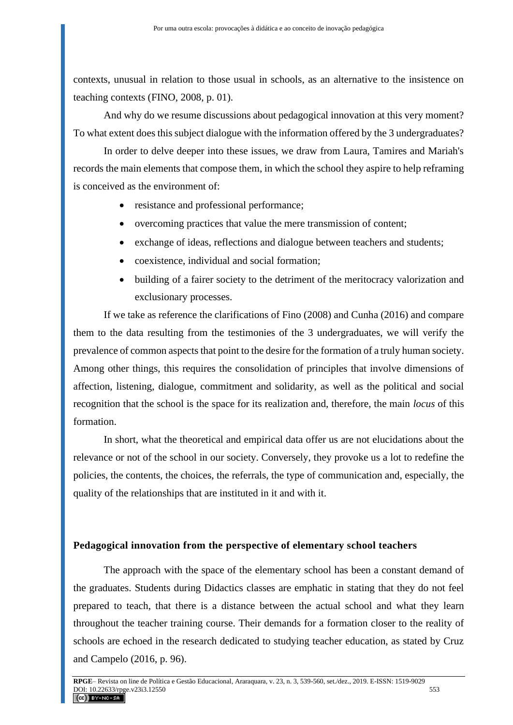contexts, unusual in relation to those usual in schools, as an alternative to the insistence on teaching contexts (FINO, 2008, p. 01).

And why do we resume discussions about pedagogical innovation at this very moment? To what extent does this subject dialogue with the information offered by the 3 undergraduates?

In order to delve deeper into these issues, we draw from Laura, Tamires and Mariah's records the main elements that compose them, in which the school they aspire to help reframing is conceived as the environment of:

- resistance and professional performance;
- overcoming practices that value the mere transmission of content;
- exchange of ideas, reflections and dialogue between teachers and students;
- coexistence, individual and social formation;
- building of a fairer society to the detriment of the meritocracy valorization and exclusionary processes.

If we take as reference the clarifications of Fino (2008) and Cunha (2016) and compare them to the data resulting from the testimonies of the 3 undergraduates, we will verify the prevalence of common aspects that point to the desire for the formation of a truly human society. Among other things, this requires the consolidation of principles that involve dimensions of affection, listening, dialogue, commitment and solidarity, as well as the political and social recognition that the school is the space for its realization and, therefore, the main *locus* of this formation.

In short, what the theoretical and empirical data offer us are not elucidations about the relevance or not of the school in our society. Conversely, they provoke us a lot to redefine the policies, the contents, the choices, the referrals, the type of communication and, especially, the quality of the relationships that are instituted in it and with it.

### **Pedagogical innovation from the perspective of elementary school teachers**

The approach with the space of the elementary school has been a constant demand of the graduates. Students during Didactics classes are emphatic in stating that they do not feel prepared to teach, that there is a distance between the actual school and what they learn throughout the teacher training course. Their demands for a formation closer to the reality of schools are echoed in the research dedicated to studying teacher education, as stated by Cruz and Campelo (2016, p. 96).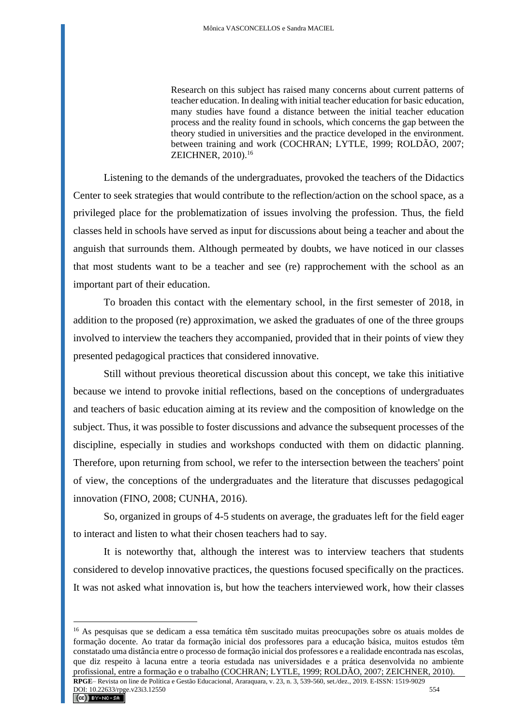Research on this subject has raised many concerns about current patterns of teacher education. In dealing with initial teacher education for basic education, many studies have found a distance between the initial teacher education process and the reality found in schools, which concerns the gap between the theory studied in universities and the practice developed in the environment. between training and work (COCHRAN; LYTLE, 1999; ROLDÃO, 2007; ZEICHNER, 2010).<sup>16</sup>

Listening to the demands of the undergraduates, provoked the teachers of the Didactics Center to seek strategies that would contribute to the reflection/action on the school space, as a privileged place for the problematization of issues involving the profession. Thus, the field classes held in schools have served as input for discussions about being a teacher and about the anguish that surrounds them. Although permeated by doubts, we have noticed in our classes that most students want to be a teacher and see (re) rapprochement with the school as an important part of their education.

To broaden this contact with the elementary school, in the first semester of 2018, in addition to the proposed (re) approximation, we asked the graduates of one of the three groups involved to interview the teachers they accompanied, provided that in their points of view they presented pedagogical practices that considered innovative.

Still without previous theoretical discussion about this concept, we take this initiative because we intend to provoke initial reflections, based on the conceptions of undergraduates and teachers of basic education aiming at its review and the composition of knowledge on the subject. Thus, it was possible to foster discussions and advance the subsequent processes of the discipline, especially in studies and workshops conducted with them on didactic planning. Therefore, upon returning from school, we refer to the intersection between the teachers' point of view, the conceptions of the undergraduates and the literature that discusses pedagogical innovation (FINO, 2008; CUNHA, 2016).

So, organized in groups of 4-5 students on average, the graduates left for the field eager to interact and listen to what their chosen teachers had to say.

It is noteworthy that, although the interest was to interview teachers that students considered to develop innovative practices, the questions focused specifically on the practices. It was not asked what innovation is, but how the teachers interviewed work, how their classes

<sup>16</sup> As pesquisas que se dedicam a essa temática têm suscitado muitas preocupações sobre os atuais moldes de formação docente. Ao tratar da formação inicial dos professores para a educação básica, muitos estudos têm constatado uma distância entre o processo de formação inicial dos professores e a realidade encontrada nas escolas, que diz respeito à lacuna entre a teoria estudada nas universidades e a prática desenvolvida no ambiente profissional, entre a formação e o trabalho (COCHRAN; LYTLE, 1999; ROLDÃO, 2007; ZEICHNER, 2010).

**RPGE**– Revista on line de Política e Gestão Educacional, Araraquara, v. 23, n. 3, 539-560, set./dez., 2019. E-ISSN: 1519-9029 DOI: 10.22633/rpge.v23i3.12550 554  $(G<sub>c</sub>)$  BY-NC-SA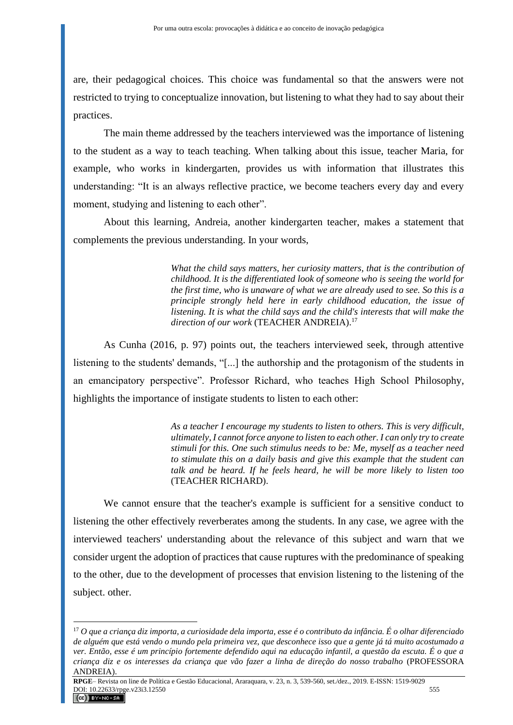are, their pedagogical choices. This choice was fundamental so that the answers were not restricted to trying to conceptualize innovation, but listening to what they had to say about their practices.

The main theme addressed by the teachers interviewed was the importance of listening to the student as a way to teach teaching. When talking about this issue, teacher Maria, for example, who works in kindergarten, provides us with information that illustrates this understanding: "It is an always reflective practice, we become teachers every day and every moment, studying and listening to each other".

About this learning, Andreia, another kindergarten teacher, makes a statement that complements the previous understanding. In your words,

> *What the child says matters, her curiosity matters, that is the contribution of childhood. It is the differentiated look of someone who is seeing the world for the first time, who is unaware of what we are already used to see. So this is a principle strongly held here in early childhood education, the issue of listening. It is what the child says and the child's interests that will make the*  direction of our work (TEACHER ANDREIA).<sup>17</sup>

As Cunha (2016, p. 97) points out, the teachers interviewed seek, through attentive listening to the students' demands, "[...] the authorship and the protagonism of the students in an emancipatory perspective". Professor Richard, who teaches High School Philosophy, highlights the importance of instigate students to listen to each other:

> *As a teacher I encourage my students to listen to others. This is very difficult, ultimately, I cannot force anyone to listen to each other. I can only try to create stimuli for this. One such stimulus needs to be: Me, myself as a teacher need to stimulate this on a daily basis and give this example that the student can talk and be heard. If he feels heard, he will be more likely to listen too*  (TEACHER RICHARD).

We cannot ensure that the teacher's example is sufficient for a sensitive conduct to listening the other effectively reverberates among the students. In any case, we agree with the interviewed teachers' understanding about the relevance of this subject and warn that we consider urgent the adoption of practices that cause ruptures with the predominance of speaking to the other, due to the development of processes that envision listening to the listening of the subject. other.

<sup>17</sup> *O que a criança diz importa, a curiosidade dela importa, esse é o contributo da infância. É o olhar diferenciado de alguém que está vendo o mundo pela primeira vez, que desconhece isso que a gente já tá muito acostumado a ver. Então, esse é um princípio fortemente defendido aqui na educação infantil, a questão da escuta. É o que a criança diz e os interesses da criança que vão fazer a linha de direção do nosso trabalho* (PROFESSORA ANDREIA).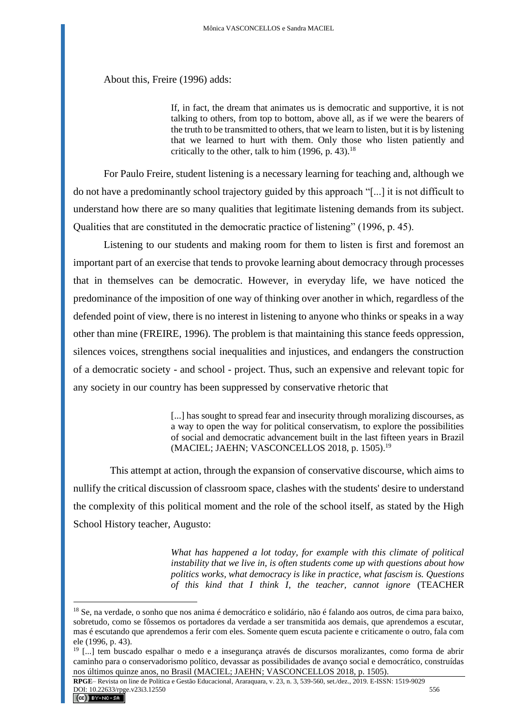About this, Freire (1996) adds:

If, in fact, the dream that animates us is democratic and supportive, it is not talking to others, from top to bottom, above all, as if we were the bearers of the truth to be transmitted to others, that we learn to listen, but it is by listening that we learned to hurt with them. Only those who listen patiently and critically to the other, talk to him  $(1996, p. 43).$ <sup>18</sup>

For Paulo Freire, student listening is a necessary learning for teaching and, although we do not have a predominantly school trajectory guided by this approach "[...] it is not difficult to understand how there are so many qualities that legitimate listening demands from its subject. Qualities that are constituted in the democratic practice of listening" (1996, p. 45).

Listening to our students and making room for them to listen is first and foremost an important part of an exercise that tends to provoke learning about democracy through processes that in themselves can be democratic. However, in everyday life, we have noticed the predominance of the imposition of one way of thinking over another in which, regardless of the defended point of view, there is no interest in listening to anyone who thinks or speaks in a way other than mine (FREIRE, 1996). The problem is that maintaining this stance feeds oppression, silences voices, strengthens social inequalities and injustices, and endangers the construction of a democratic society - and school - project. Thus, such an expensive and relevant topic for any society in our country has been suppressed by conservative rhetoric that

> [...] has sought to spread fear and insecurity through moralizing discourses, as a way to open the way for political conservatism, to explore the possibilities of social and democratic advancement built in the last fifteen years in Brazil (MACIEL; JAEHN; VASCONCELLOS 2018, p. 1505).<sup>19</sup>

This attempt at action, through the expansion of conservative discourse, which aims to nullify the critical discussion of classroom space, clashes with the students' desire to understand the complexity of this political moment and the role of the school itself, as stated by the High School History teacher, Augusto:

> *What has happened a lot today, for example with this climate of political instability that we live in, is often students come up with questions about how politics works, what democracy is like in practice, what fascism is. Questions of this kind that I think I, the teacher, cannot ignore* (TEACHER

<sup>&</sup>lt;sup>18</sup> Se, na verdade, o sonho que nos anima é democrático e solidário, não é falando aos outros, de cima para baixo, sobretudo, como se fôssemos os portadores da verdade a ser transmitida aos demais, que aprendemos a escutar, mas é escutando que aprendemos a ferir com eles. Somente quem escuta paciente e criticamente o outro, fala com ele (1996, p. 43).

<sup>19</sup> [...] tem buscado espalhar o medo e a insegurança através de discursos moralizantes, como forma de abrir caminho para o conservadorismo político, devassar as possibilidades de avanço social e democrático, construídas nos últimos quinze anos, no Brasil (MACIEL; JAEHN; VASCONCELLOS 2018, p. 1505).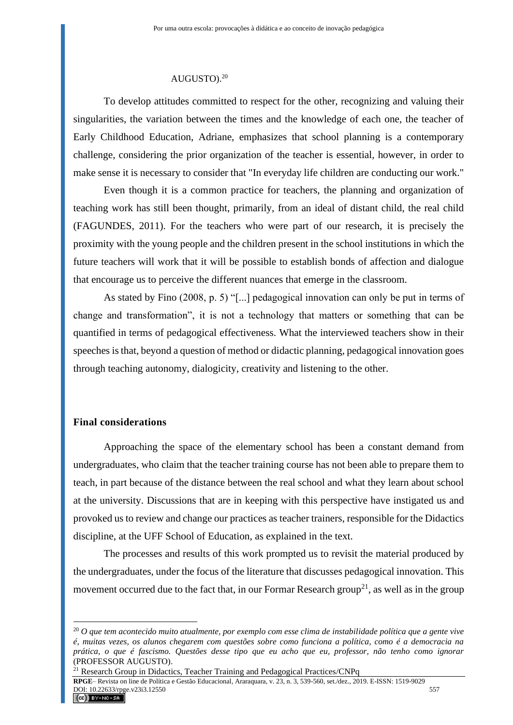#### AUGUSTO).<sup>20</sup>

To develop attitudes committed to respect for the other, recognizing and valuing their singularities, the variation between the times and the knowledge of each one, the teacher of Early Childhood Education, Adriane, emphasizes that school planning is a contemporary challenge, considering the prior organization of the teacher is essential, however, in order to make sense it is necessary to consider that "In everyday life children are conducting our work."

Even though it is a common practice for teachers, the planning and organization of teaching work has still been thought, primarily, from an ideal of distant child, the real child (FAGUNDES, 2011). For the teachers who were part of our research, it is precisely the proximity with the young people and the children present in the school institutions in which the future teachers will work that it will be possible to establish bonds of affection and dialogue that encourage us to perceive the different nuances that emerge in the classroom.

As stated by Fino (2008, p. 5) "[...] pedagogical innovation can only be put in terms of change and transformation", it is not a technology that matters or something that can be quantified in terms of pedagogical effectiveness. What the interviewed teachers show in their speeches is that, beyond a question of method or didactic planning, pedagogical innovation goes through teaching autonomy, dialogicity, creativity and listening to the other.

## **Final considerations**

Approaching the space of the elementary school has been a constant demand from undergraduates, who claim that the teacher training course has not been able to prepare them to teach, in part because of the distance between the real school and what they learn about school at the university. Discussions that are in keeping with this perspective have instigated us and provoked us to review and change our practices as teacher trainers, responsible for the Didactics discipline, at the UFF School of Education, as explained in the text.

The processes and results of this work prompted us to revisit the material produced by the undergraduates, under the focus of the literature that discusses pedagogical innovation. This movement occurred due to the fact that, in our Formar Research group<sup>21</sup>, as well as in the group

<sup>21</sup> Research Group in Didactics, Teacher Training and Pedagogical Practices/CNPq

**RPGE**– Revista on line de Política e Gestão Educacional, Araraquara, v. 23, n. 3, 539-560, set./dez., 2019. E-ISSN: 1519-9029 **DOI**: 10.22633/rpge.v23i3.12550 557  $(G)$  BY-NC-SA

<sup>20</sup> *O que tem acontecido muito atualmente, por exemplo com esse clima de instabilidade política que a gente vive é, muitas vezes, os alunos chegarem com questões sobre como funciona a política, como é a democracia na prática, o que é fascismo. Questões desse tipo que eu acho que eu, professor, não tenho como ignorar* (PROFESSOR AUGUSTO).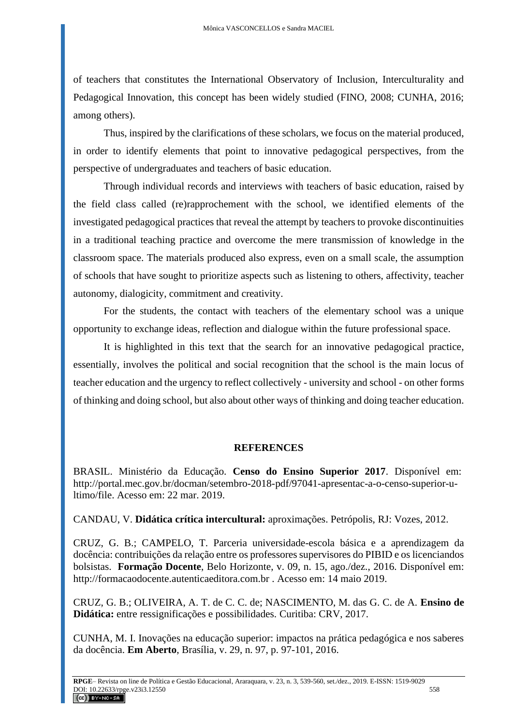of teachers that constitutes the International Observatory of Inclusion, Interculturality and Pedagogical Innovation, this concept has been widely studied (FINO, 2008; CUNHA, 2016; among others).

Thus, inspired by the clarifications of these scholars, we focus on the material produced, in order to identify elements that point to innovative pedagogical perspectives, from the perspective of undergraduates and teachers of basic education.

Through individual records and interviews with teachers of basic education, raised by the field class called (re)rapprochement with the school, we identified elements of the investigated pedagogical practices that reveal the attempt by teachers to provoke discontinuities in a traditional teaching practice and overcome the mere transmission of knowledge in the classroom space. The materials produced also express, even on a small scale, the assumption of schools that have sought to prioritize aspects such as listening to others, affectivity, teacher autonomy, dialogicity, commitment and creativity.

For the students, the contact with teachers of the elementary school was a unique opportunity to exchange ideas, reflection and dialogue within the future professional space.

It is highlighted in this text that the search for an innovative pedagogical practice, essentially, involves the political and social recognition that the school is the main locus of teacher education and the urgency to reflect collectively - university and school - on other forms of thinking and doing school, but also about other ways of thinking and doing teacher education.

# **REFERENCES**

BRASIL. Ministério da Educação. **Censo do Ensino Superior 2017**. Disponível em: http://portal.mec.gov.br/docman/setembro-2018-pdf/97041-apresentac-a-o-censo-superior-ultimo/file. Acesso em: 22 mar. 2019.

CANDAU, V. **Didática crítica intercultural:** aproximações. Petrópolis, RJ: Vozes, 2012.

CRUZ, G. B.; CAMPELO, T. Parceria universidade-escola básica e a aprendizagem da docência: contribuições da relação entre os professores supervisores do PIBID e os licenciandos bolsistas. **Formação Docente**, Belo Horizonte, v. 09, n. 15, ago./dez., 2016. Disponível em: [http://formacaodocente.autenticaeditora.com.br](http://formacaodocente.autenticaeditora.com.br/) . Acesso em: 14 maio 2019.

CRUZ, G. B.; OLIVEIRA, A. T. de C. C. de; NASCIMENTO, M. das G. C. de A. **Ensino de Didática:** entre ressignificações e possibilidades. Curitiba: CRV, 2017.

CUNHA, M. I. Inovações na educação superior: impactos na prática pedagógica e nos saberes da docência. **Em Aberto**, Brasília, v. 29, n. 97, p. 97-101, 2016.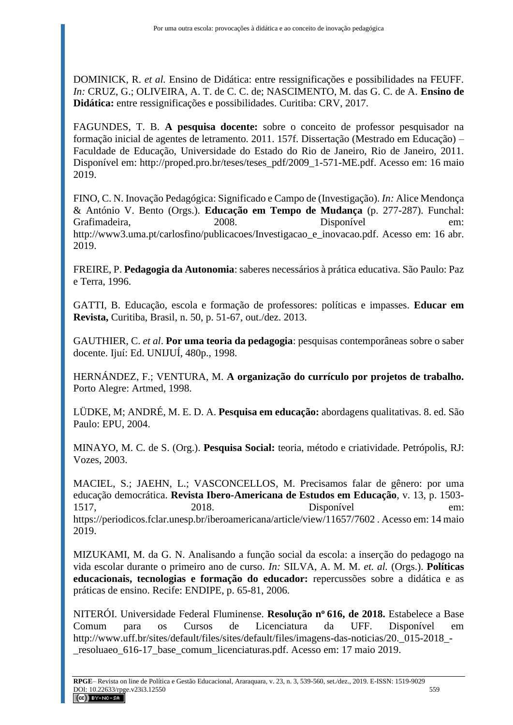DOMINICK, R. *et al.* Ensino de Didática: entre ressignificações e possibilidades na FEUFF. *In:* CRUZ, G.; OLIVEIRA, A. T. de C. C. de; NASCIMENTO, M. das G. C. de A. **Ensino de Didática:** entre ressignificações e possibilidades. Curitiba: CRV, 2017.

FAGUNDES, T. B. **A pesquisa docente:** sobre o conceito de professor pesquisador na formação inicial de agentes de letramento. 2011. 157f. Dissertação (Mestrado em Educação) – Faculdade de Educação, Universidade do Estado do Rio de Janeiro, Rio de Janeiro, 2011. Disponível em: [http://proped.pro.br/teses/teses\\_pdf/2009\\_1-571-ME.pdf.](http://proped.pro.br/teses/teses_pdf/2009_1-571-ME.pdf) Acesso em: 16 maio 2019.

FINO, C. N. Inovação Pedagógica: Significado e Campo de (Investigação). *In:* Alice Mendonça & António V. Bento (Orgs.). **Educação em Tempo de Mudança** (p. 277-287). Funchal: Grafimadeira. 2008. Disponível [http://www3.uma.pt/carlosfino/publicacoes/Investigacao\\_e\\_inovacao.pdf.](http://www3.uma.pt/carlosfino/publicacoes/Investigacao_e_inovacao.pdf) Acesso em: 16 abr. 2019.

FREIRE, P. **Pedagogia da Autonomia**: saberes necessários à prática educativa. São Paulo: Paz e Terra, 1996.

GATTI, B. Educação, escola e formação de professores: políticas e impasses. **Educar em Revista,** Curitiba, Brasil, n. 50, p. 51-67, out./dez. 2013.

GAUTHIER, C. *et al*. **Por uma teoria da pedagogia**: pesquisas contemporâneas sobre o saber docente. Ijuí: Ed. UNIJUÍ, 480p., 1998.

HERNÁNDEZ, F.; VENTURA, M. **A organização do currículo por projetos de trabalho.**  Porto Alegre: Artmed, 1998.

LÜDKE, M; ANDRÉ, M. E. D. A. **Pesquisa em educação:** abordagens qualitativas. 8. ed. São Paulo: EPU, 2004.

MINAYO, M. C. de S. (Org.). **Pesquisa Social:** teoria, método e criatividade. Petrópolis, RJ: Vozes, 2003.

MACIEL, S.; JAEHN, L.; VASCONCELLOS, M. Precisamos falar de gênero: por uma educação democrática. **Revista Ibero-Americana de Estudos em Educação**, v. 13, p. 1503- 1517, 2018. Disponível em: <https://periodicos.fclar.unesp.br/iberoamericana/article/view/11657/7602> . Acesso em: 14 maio 2019.

MIZUKAMI, M. da G. N. Analisando a função social da escola: a inserção do pedagogo na vida escolar durante o primeiro ano de curso. *In:* SILVA, A. M. M. *et. al.* (Orgs.). **Políticas educacionais, tecnologias e formação do educador:** repercussões sobre a didática e as práticas de ensino. Recife: ENDIPE, p. 65-81, 2006.

NITERÓI. Universidade Federal Fluminense. **Resolução n<sup>o</sup>616, de 2018.** Estabelece a Base Comum para os Cursos de Licenciatura da UFF. Disponível em http://www.uff.br/sites/default/files/sites/default/files/imagens-das-noticias/20. 015-2018 -\_resoluaeo\_616-17\_base\_comum\_licenciaturas.pdf. Acesso em: 17 maio 2019.